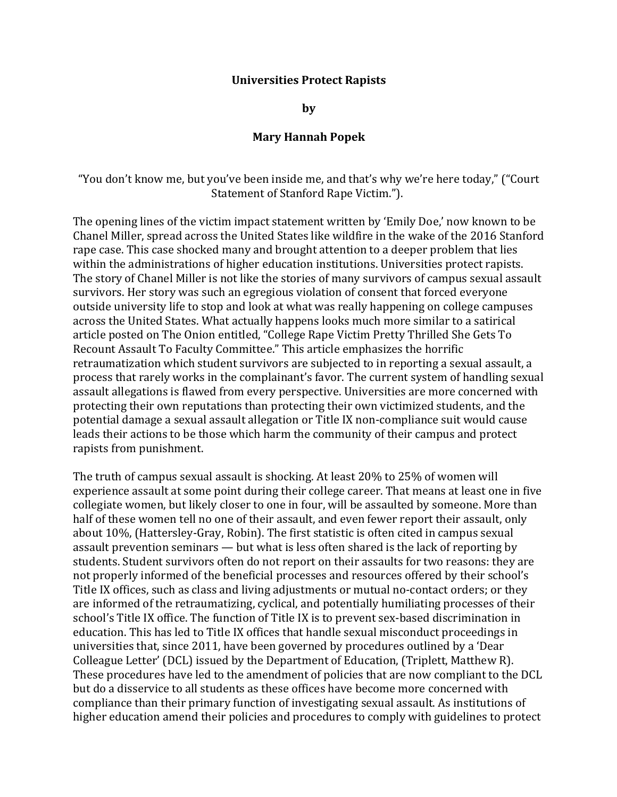## **Universities Protect Rapists**

**by**

## **Mary Hannah Popek**

"You don't know me, but you've been inside me, and that's why we're here today," ("Court Statement of Stanford Rape Victim.").

The opening lines of the victim impact statement written by 'Emily Doe,' now known to be Chanel Miller, spread across the United States like wildfire in the wake of the 2016 Stanford rape case. This case shocked many and brought attention to a deeper problem that lies within the administrations of higher education institutions. Universities protect rapists. The story of Chanel Miller is not like the stories of many survivors of campus sexual assault survivors. Her story was such an egregious violation of consent that forced everyone outside university life to stop and look at what was really happening on college campuses across the United States. What actually happens looks much more similar to a satirical article posted on The Onion entitled, "College Rape Victim Pretty Thrilled She Gets To Recount Assault To Faculty Committee." This article emphasizes the horrific retraumatization which student survivors are subjected to in reporting a sexual assault, a process that rarely works in the complainant's favor. The current system of handling sexual assault allegations is flawed from every perspective. Universities are more concerned with protecting their own reputations than protecting their own victimized students, and the potential damage a sexual assault allegation or Title IX non-compliance suit would cause leads their actions to be those which harm the community of their campus and protect rapists from punishment.

The truth of campus sexual assault is shocking. At least  $20\%$  to  $25\%$  of women will experience assault at some point during their college career. That means at least one in five collegiate women, but likely closer to one in four, will be assaulted by someone. More than half of these women tell no one of their assault, and even fewer report their assault, only about 10%, (Hattersley-Gray, Robin). The first statistic is often cited in campus sexual assault prevention seminars  $-$  but what is less often shared is the lack of reporting by students. Student survivors often do not report on their assaults for two reasons: they are not properly informed of the beneficial processes and resources offered by their school's Title IX offices, such as class and living adjustments or mutual no-contact orders; or they are informed of the retraumatizing, cyclical, and potentially humiliating processes of their school's Title IX office. The function of Title IX is to prevent sex-based discrimination in education. This has led to Title IX offices that handle sexual misconduct proceedings in universities that, since 2011, have been governed by procedures outlined by a 'Dear Colleague Letter' (DCL) issued by the Department of Education, (Triplett, Matthew R). These procedures have led to the amendment of policies that are now compliant to the DCL but do a disservice to all students as these offices have become more concerned with compliance than their primary function of investigating sexual assault. As institutions of higher education amend their policies and procedures to comply with guidelines to protect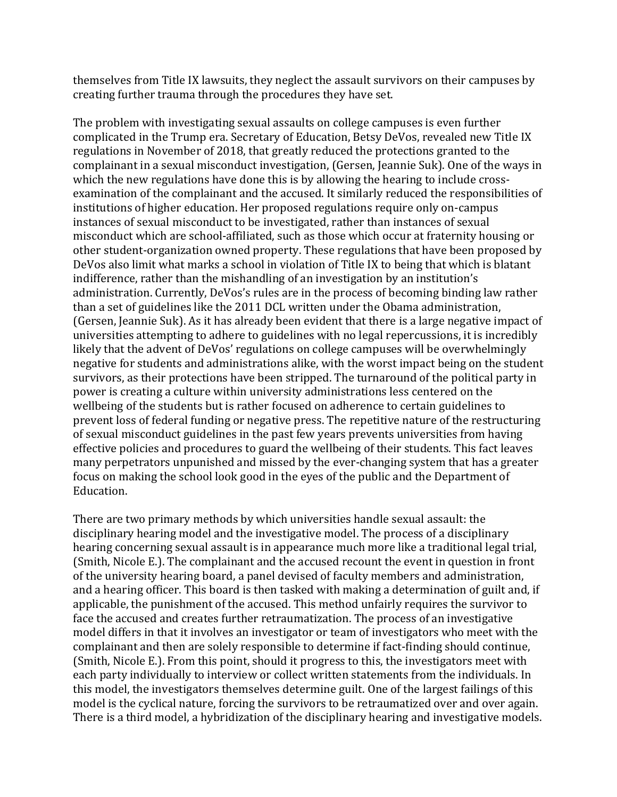themselves from Title IX lawsuits, they neglect the assault survivors on their campuses by creating further trauma through the procedures they have set.

The problem with investigating sexual assaults on college campuses is even further complicated in the Trump era. Secretary of Education, Betsy DeVos, revealed new Title IX regulations in November of 2018, that greatly reduced the protections granted to the complainant in a sexual misconduct investigation, (Gersen, Jeannie Suk). One of the ways in which the new regulations have done this is by allowing the hearing to include crossexamination of the complainant and the accused. It similarly reduced the responsibilities of institutions of higher education. Her proposed regulations require only on-campus instances of sexual misconduct to be investigated, rather than instances of sexual misconduct which are school-affiliated, such as those which occur at fraternity housing or other student-organization owned property. These regulations that have been proposed by DeVos also limit what marks a school in violation of Title IX to being that which is blatant indifference, rather than the mishandling of an investigation by an institution's administration. Currently, DeVos's rules are in the process of becoming binding law rather than a set of guidelines like the 2011 DCL written under the Obama administration, (Gersen, Jeannie Suk). As it has already been evident that there is a large negative impact of universities attempting to adhere to guidelines with no legal repercussions, it is incredibly likely that the advent of DeVos' regulations on college campuses will be overwhelmingly negative for students and administrations alike, with the worst impact being on the student survivors, as their protections have been stripped. The turnaround of the political party in power is creating a culture within university administrations less centered on the wellbeing of the students but is rather focused on adherence to certain guidelines to prevent loss of federal funding or negative press. The repetitive nature of the restructuring of sexual misconduct guidelines in the past few years prevents universities from having effective policies and procedures to guard the wellbeing of their students. This fact leaves many perpetrators unpunished and missed by the ever-changing system that has a greater focus on making the school look good in the eyes of the public and the Department of Education.

There are two primary methods by which universities handle sexual assault: the disciplinary hearing model and the investigative model. The process of a disciplinary hearing concerning sexual assault is in appearance much more like a traditional legal trial, (Smith, Nicole E.). The complainant and the accused recount the event in question in front of the university hearing board, a panel devised of faculty members and administration, and a hearing officer. This board is then tasked with making a determination of guilt and, if applicable, the punishment of the accused. This method unfairly requires the survivor to face the accused and creates further retraumatization. The process of an investigative model differs in that it involves an investigator or team of investigators who meet with the complainant and then are solely responsible to determine if fact-finding should continue, (Smith, Nicole E.). From this point, should it progress to this, the investigators meet with each party individually to interview or collect written statements from the individuals. In this model, the investigators themselves determine guilt. One of the largest failings of this model is the cyclical nature, forcing the survivors to be retraumatized over and over again. There is a third model, a hybridization of the disciplinary hearing and investigative models.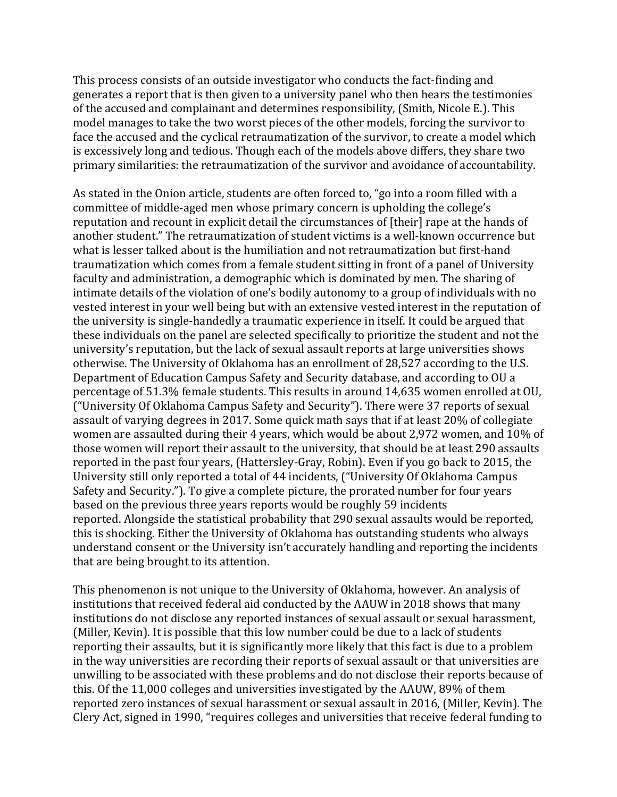This process consists of an outside investigator who conducts the fact-finding and generates a report that is then given to a university panel who then hears the testimonies of the accused and complainant and determines responsibility, (Smith, Nicole E.). This model manages to take the two worst pieces of the other models, forcing the survivor to face the accused and the cyclical retraumatization of the survivor, to create a model which is excessively long and tedious. Though each of the models above differs, they share two primary similarities: the retraumatization of the survivor and avoidance of accountability.

As stated in the Onion article, students are often forced to, "go into a room filled with a committee of middle-aged men whose primary concern is upholding the college's reputation and recount in explicit detail the circumstances of [their] rape at the hands of another student." The retraumatization of student victims is a well-known occurrence but what is lesser talked about is the humiliation and not retraumatization but first-hand traumatization which comes from a female student sitting in front of a panel of University faculty and administration, a demographic which is dominated by men. The sharing of intimate details of the violation of one's bodily autonomy to a group of individuals with no vested interest in your well being but with an extensive vested interest in the reputation of the university is single-handedly a traumatic experience in itself. It could be argued that these individuals on the panel are selected specifically to prioritize the student and not the university's reputation, but the lack of sexual assault reports at large universities shows otherwise. The University of Oklahoma has an enrollment of 28,527 according to the U.S. Department of Education Campus Safety and Security database, and according to OU a percentage of 51.3% female students. This results in around 14,635 women enrolled at OU, ("University Of Oklahoma Campus Safety and Security"). There were 37 reports of sexual assault of varying degrees in 2017. Some quick math says that if at least 20% of collegiate women are assaulted during their 4 years, which would be about 2,972 women, and 10% of those women will report their assault to the university, that should be at least 290 assaults reported in the past four years, (Hattersley-Gray, Robin). Even if you go back to 2015, the University still only reported a total of 44 incidents, ("University Of Oklahoma Campus Safety and Security."). To give a complete picture, the prorated number for four years based on the previous three years reports would be roughly 59 incidents reported. Alongside the statistical probability that 290 sexual assaults would be reported, this is shocking. Either the University of Oklahoma has outstanding students who always understand consent or the University isn't accurately handling and reporting the incidents that are being brought to its attention.

This phenomenon is not unique to the University of Oklahoma, however. An analysis of institutions that received federal aid conducted by the AAUW in 2018 shows that many institutions do not disclose any reported instances of sexual assault or sexual harassment, (Miller, Kevin). It is possible that this low number could be due to a lack of students reporting their assaults, but it is significantly more likely that this fact is due to a problem in the way universities are recording their reports of sexual assault or that universities are unwilling to be associated with these problems and do not disclose their reports because of this. Of the 11,000 colleges and universities investigated by the AAUW, 89% of them reported zero instances of sexual harassment or sexual assault in 2016, (Miller, Kevin). The Clery Act, signed in 1990, "requires colleges and universities that receive federal funding to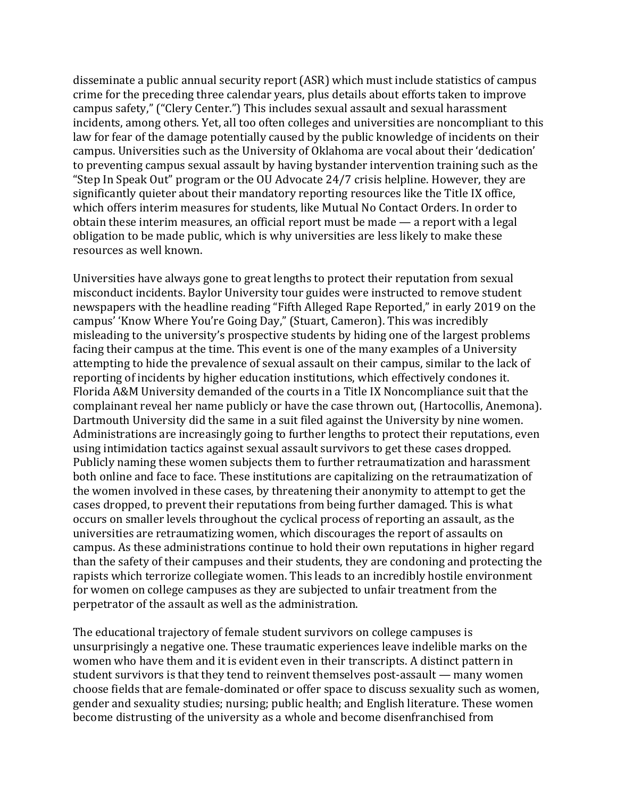disseminate a public annual security report (ASR) which must include statistics of campus crime for the preceding three calendar years, plus details about efforts taken to improve campus safety," ("Clery Center.") This includes sexual assault and sexual harassment incidents, among others. Yet, all too often colleges and universities are noncompliant to this law for fear of the damage potentially caused by the public knowledge of incidents on their campus. Universities such as the University of Oklahoma are vocal about their 'dedication' to preventing campus sexual assault by having bystander intervention training such as the "Step In Speak Out" program or the OU Advocate  $24/7$  crisis helpline. However, they are significantly quieter about their mandatory reporting resources like the Title IX office, which offers interim measures for students, like Mutual No Contact Orders. In order to obtain these interim measures, an official report must be made  $-$  a report with a legal obligation to be made public, which is why universities are less likely to make these resources as well known.

Universities have always gone to great lengths to protect their reputation from sexual misconduct incidents. Baylor University tour guides were instructed to remove student newspapers with the headline reading "Fifth Alleged Rape Reported," in early 2019 on the campus' 'Know Where You're Going Day," (Stuart, Cameron). This was incredibly misleading to the university's prospective students by hiding one of the largest problems facing their campus at the time. This event is one of the many examples of a University attempting to hide the prevalence of sexual assault on their campus, similar to the lack of reporting of incidents by higher education institutions, which effectively condones it. Florida A&M University demanded of the courts in a Title IX Noncompliance suit that the complainant reveal her name publicly or have the case thrown out, (Hartocollis, Anemona). Dartmouth University did the same in a suit filed against the University by nine women. Administrations are increasingly going to further lengths to protect their reputations, even using intimidation tactics against sexual assault survivors to get these cases dropped. Publicly naming these women subjects them to further retraumatization and harassment both online and face to face. These institutions are capitalizing on the retraumatization of the women involved in these cases, by threatening their anonymity to attempt to get the cases dropped, to prevent their reputations from being further damaged. This is what occurs on smaller levels throughout the cyclical process of reporting an assault, as the universities are retraumatizing women, which discourages the report of assaults on campus. As these administrations continue to hold their own reputations in higher regard than the safety of their campuses and their students, they are condoning and protecting the rapists which terrorize collegiate women. This leads to an incredibly hostile environment for women on college campuses as they are subjected to unfair treatment from the perpetrator of the assault as well as the administration.

The educational trajectory of female student survivors on college campuses is unsurprisingly a negative one. These traumatic experiences leave indelible marks on the women who have them and it is evident even in their transcripts. A distinct pattern in student survivors is that they tend to reinvent themselves post-assault  $-$  many women choose fields that are female-dominated or offer space to discuss sexuality such as women, gender and sexuality studies; nursing; public health; and English literature. These women become distrusting of the university as a whole and become disenfranchised from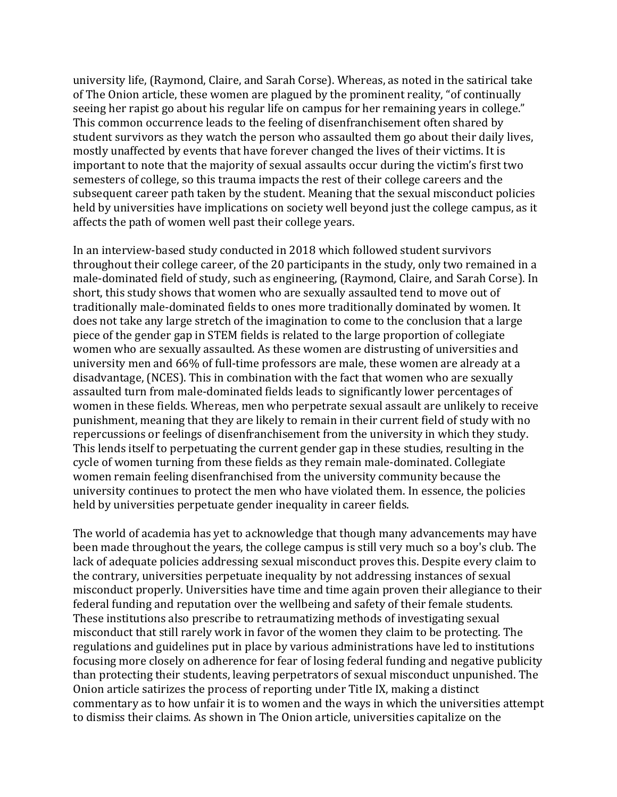university life, (Raymond, Claire, and Sarah Corse). Whereas, as noted in the satirical take of The Onion article, these women are plagued by the prominent reality, "of continually seeing her rapist go about his regular life on campus for her remaining years in college." This common occurrence leads to the feeling of disenfranchisement often shared by student survivors as they watch the person who assaulted them go about their daily lives, mostly unaffected by events that have forever changed the lives of their victims. It is important to note that the majority of sexual assaults occur during the victim's first two semesters of college, so this trauma impacts the rest of their college careers and the subsequent career path taken by the student. Meaning that the sexual misconduct policies held by universities have implications on society well beyond just the college campus, as it affects the path of women well past their college years.

In an interview-based study conducted in 2018 which followed student survivors throughout their college career, of the 20 participants in the study, only two remained in a male-dominated field of study, such as engineering, (Raymond, Claire, and Sarah Corse). In short, this study shows that women who are sexually assaulted tend to move out of traditionally male-dominated fields to ones more traditionally dominated by women. It does not take any large stretch of the imagination to come to the conclusion that a large piece of the gender gap in STEM fields is related to the large proportion of collegiate women who are sexually assaulted. As these women are distrusting of universities and university men and 66% of full-time professors are male, these women are already at a disadvantage, (NCES). This in combination with the fact that women who are sexually assaulted turn from male-dominated fields leads to significantly lower percentages of women in these fields. Whereas, men who perpetrate sexual assault are unlikely to receive punishment, meaning that they are likely to remain in their current field of study with no repercussions or feelings of disenfranchisement from the university in which they study. This lends itself to perpetuating the current gender gap in these studies, resulting in the cycle of women turning from these fields as they remain male-dominated. Collegiate women remain feeling disenfranchised from the university community because the university continues to protect the men who have violated them. In essence, the policies held by universities perpetuate gender inequality in career fields.

The world of academia has yet to acknowledge that though many advancements may have been made throughout the years, the college campus is still very much so a boy's club. The lack of adequate policies addressing sexual misconduct proves this. Despite every claim to the contrary, universities perpetuate inequality by not addressing instances of sexual misconduct properly. Universities have time and time again proven their allegiance to their federal funding and reputation over the wellbeing and safety of their female students. These institutions also prescribe to retraumatizing methods of investigating sexual misconduct that still rarely work in favor of the women they claim to be protecting. The regulations and guidelines put in place by various administrations have led to institutions focusing more closely on adherence for fear of losing federal funding and negative publicity than protecting their students, leaving perpetrators of sexual misconduct unpunished. The Onion article satirizes the process of reporting under Title IX, making a distinct commentary as to how unfair it is to women and the ways in which the universities attempt to dismiss their claims. As shown in The Onion article, universities capitalize on the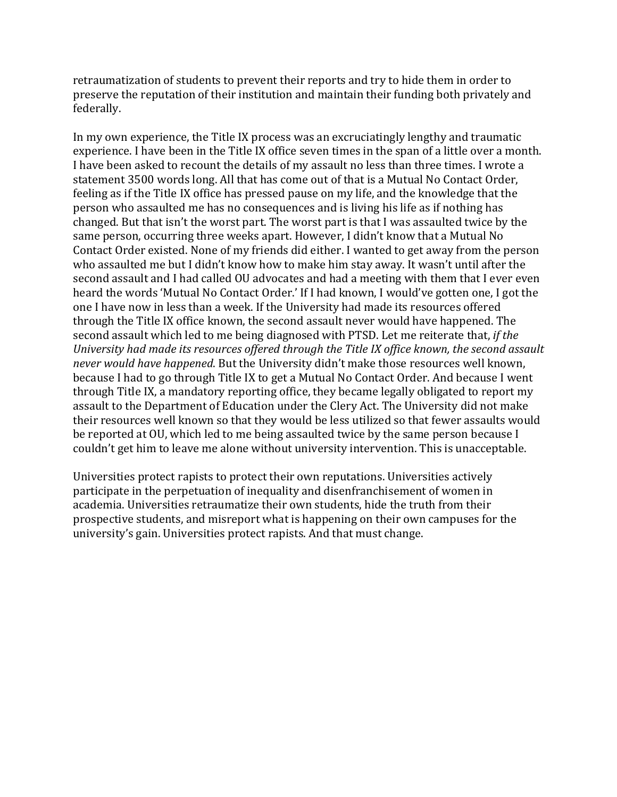retraumatization of students to prevent their reports and try to hide them in order to preserve the reputation of their institution and maintain their funding both privately and federally.

In my own experience, the Title IX process was an excruciatingly lengthy and traumatic experience. I have been in the Title IX office seven times in the span of a little over a month. I have been asked to recount the details of my assault no less than three times. I wrote a statement 3500 words long. All that has come out of that is a Mutual No Contact Order, feeling as if the Title IX office has pressed pause on my life, and the knowledge that the person who assaulted me has no consequences and is living his life as if nothing has changed. But that isn't the worst part. The worst part is that I was assaulted twice by the same person, occurring three weeks apart. However, I didn't know that a Mutual No Contact Order existed. None of my friends did either. I wanted to get away from the person who assaulted me but I didn't know how to make him stay away. It wasn't until after the second assault and I had called OU advocates and had a meeting with them that I ever even heard the words 'Mutual No Contact Order.' If I had known, I would've gotten one, I got the one I have now in less than a week. If the University had made its resources offered through the Title IX office known, the second assault never would have happened. The second assault which led to me being diagnosed with PTSD. Let me reiterate that, *if the* University had made its resources offered through the Title IX office known, the second assault *never* would have happened. But the University didn't make those resources well known, because I had to go through Title IX to get a Mutual No Contact Order. And because I went through Title IX, a mandatory reporting office, they became legally obligated to report my assault to the Department of Education under the Clery Act. The University did not make their resources well known so that they would be less utilized so that fewer assaults would be reported at OU, which led to me being assaulted twice by the same person because I couldn't get him to leave me alone without university intervention. This is unacceptable.

Universities protect rapists to protect their own reputations. Universities actively participate in the perpetuation of inequality and disenfranchisement of women in academia. Universities retraumatize their own students, hide the truth from their prospective students, and misreport what is happening on their own campuses for the university's gain. Universities protect rapists. And that must change.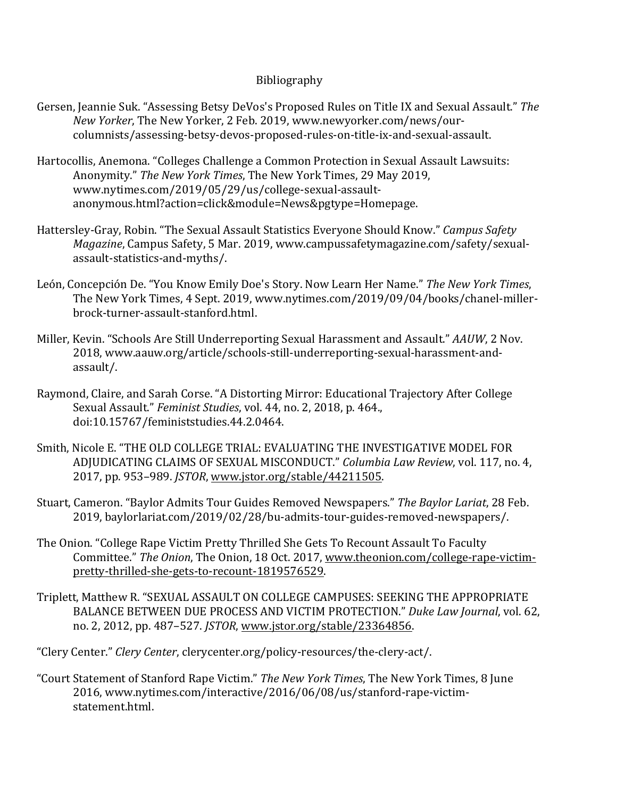## Bibliography

- Gersen, Jeannie Suk. "Assessing Betsy DeVos's Proposed Rules on Title IX and Sexual Assault." The *New Yorker*, The New Yorker, 2 Feb. 2019, www.newyorker.com/news/ourcolumnists/assessing-betsy-devos-proposed-rules-on-title-ix-and-sexual-assault.
- Hartocollis, Anemona. "Colleges Challenge a Common Protection in Sexual Assault Lawsuits: Anonymity." The New York Times, The New York Times, 29 May 2019, www.nytimes.com/2019/05/29/us/college-sexual-assaultanonymous.html?action=click&module=News&pgtype=Homepage.
- Hattersley-Gray, Robin. "The Sexual Assault Statistics Everyone Should Know." *Campus Safety Magazine*, Campus Safety, 5 Mar. 2019, www.campussafetymagazine.com/safety/sexualassault-statistics-and-myths/.
- León, Concepción De. "You Know Emily Doe's Story. Now Learn Her Name." The New York Times, The New York Times, 4 Sept. 2019, www.nytimes.com/2019/09/04/books/chanel-millerbrock-turner-assault-stanford.html.
- Miller, Kevin. "Schools Are Still Underreporting Sexual Harassment and Assault." *AAUW*, 2 Nov. 2018, www.aauw.org/article/schools-still-underreporting-sexual-harassment-andassault/.
- Raymond, Claire, and Sarah Corse. "A Distorting Mirror: Educational Trajectory After College Sexual Assault." Feminist Studies, vol. 44, no. 2, 2018, p. 464., doi:10.15767/feministstudies.44.2.0464.
- Smith, Nicole E. "THE OLD COLLEGE TRIAL: EVALUATING THE INVESTIGATIVE MODEL FOR ADJUDICATING CLAIMS OF SEXUAL MISCONDUCT." *Columbia Law Review*, vol. 117, no. 4, 2017, pp. 953-989. *JSTOR*, www.jstor.org/stable/44211505.
- Stuart, Cameron. "Baylor Admits Tour Guides Removed Newspapers." The Baylor Lariat, 28 Feb. 2019, baylorlariat.com/2019/02/28/bu-admits-tour-guides-removed-newspapers/.
- The Onion. "College Rape Victim Pretty Thrilled She Gets To Recount Assault To Faculty Committee." The Onion, The Onion, 18 Oct. 2017, www.theonion.com/college-rape-victimpretty-thrilled-she-gets-to-recount-1819576529.
- Triplett, Matthew R. "SEXUAL ASSAULT ON COLLEGE CAMPUSES: SEEKING THE APPROPRIATE BALANCE BETWEEN DUE PROCESS AND VICTIM PROTECTION." Duke Law Journal, vol. 62, no. 2, 2012, pp. 487–527. *JSTOR*, www.jstor.org/stable/23364856.
- "Clery Center." *Clery Center*, clerycenter.org/policy-resources/the-clery-act/.
- "Court Statement of Stanford Rape Victim." *The New York Times*, The New York Times, 8 June 2016, www.nytimes.com/interactive/2016/06/08/us/stanford-rape-victimstatement.html.